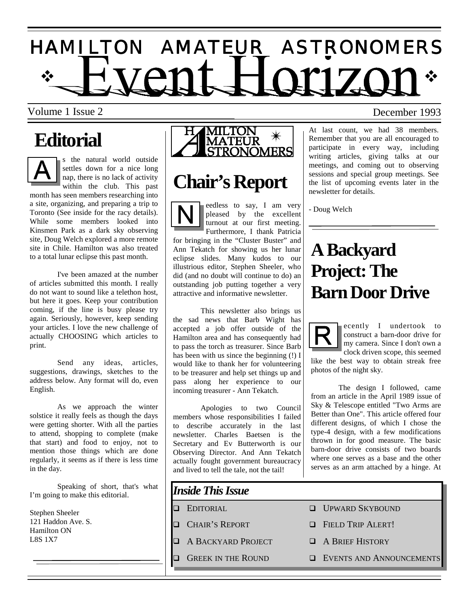# $\dot{\gamma}$  HVANT HOM701  $\dot{\gamma}$ H A M I L T O N A M A T E U R A S T R O N O M E R S

Volume 1 Issue 2 December 1993

# **Editorial**

s the natural world outside settles down for a nice long nap, there is no lack of activity within the club. This past month has seen members researching into a site, organizing, and preparing a trip to

Toronto (See inside for the racy details). While some members looked into Kinsmen Park as a dark sky observing site, Doug Welch explored a more remote site in Chile. Hamilton was also treated to a total lunar eclipse this past month.

 I've been amazed at the number of articles submitted this month. I really do not want to sound like a telethon host, but here it goes. Keep your contribution coming, if the line is busy please try again. Seriously, however, keep sending your articles. I love the new challenge of actually CHOOSING which articles to print.

 Send any ideas, articles, suggestions, drawings, sketches to the address below. Any format will do, even English.

 As we approach the winter solstice it really feels as though the days were getting shorter. With all the parties to attend, shopping to complete (make that start) and food to enjoy, not to mention those things which are done regularly, it seems as if there is less time in the day.

 Speaking of short, that's what I'm going to make this editorial.

Stephen Sheeler 121 Haddon Ave. S. Hamilton ON L8S 1X7



# **Chair's Report**

eedless to say, I am very pleased by the excellent turnout at our first meeting. Furthermore, I thank Patricia for bringing in the "Cluster Buster" and Ann Tekatch for showing us her lunar eclipse slides. Many kudos to our illustrious editor, Stephen Sheeler, who did (and no doubt will continue to do) an outstanding job putting together a very attractive and informative newsletter.

 This newsletter also brings us the sad news that Barb Wight has accepted a job offer outside of the Hamilton area and has consequently had to pass the torch as treasurer. Since Barb has been with us since the beginning (!) I would like to thank her for volunteering to be treasurer and help set things up and pass along her experience to our incoming treasurer - Ann Tekatch.

 Apologies to two Council members whose responsibilities I failed to describe accurately in the last newsletter. Charles Baetsen is the Secretary and Ev Butterworth is our Observing Director. And Ann Tekatch actually fought government bureaucracy and lived to tell the tale, not the tail!

## *Inside This Issue*

- 
- 
- **A BACKYARD PROJECT CONSERVING BY**
- 

At last count, we had 38 members. Remember that you are all encouraged to participate in every way, including writing articles, giving talks at our meetings, and coming out to observing sessions and special group meetings. See the list of upcoming events later in the newsletter for details.

- Doug Welch

# **A Backyard Project: The Barn Door Drive**



ecently I undertook to construct a barn-door drive for my camera. Since I don't own a clock driven scope, this seemed

like the best way to obtain streak free photos of the night sky.

 The design I followed, came from an article in the April 1989 issue of Sky & Telescope entitled "Two Arms are Better than One". This article offered four different designs, of which I chose the type-4 design, with a few modifications thrown in for good measure. The basic barn-door drive consists of two boards where one serves as a base and the other serves as an arm attached by a hinge. At

- $\Box$  EDITORIAL  $\Box$  UPWARD SKYBOUND
- $\Box$  CHAIR'S REPORT  $\Box$  FIELD TRIP ALERT!
	-
- **Q GREEK IN THE ROUND GEVENTS AND ANNOUNCEMENTS**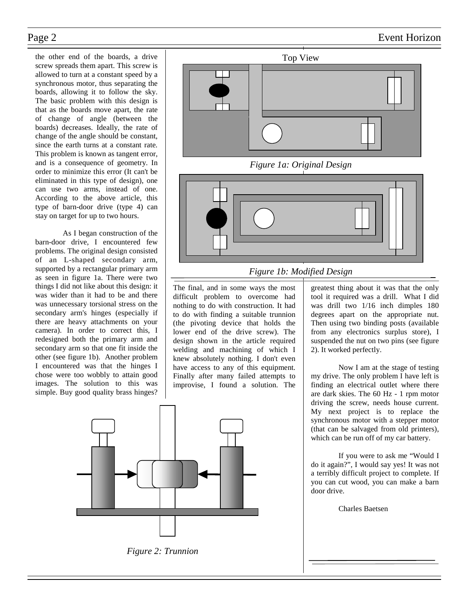the other end of the boards, a drive screw spreads them apart. This screw is allowed to turn at a constant speed by a synchronous motor, thus separating the boards, allowing it to follow the sky. The basic problem with this design is that as the boards move apart, the rate of change of angle (between the boards) decreases. Ideally, the rate of change of the angle should be constant, since the earth turns at a constant rate. This problem is known as tangent error, and is a consequence of geometry. In order to minimize this error (It can't be eliminated in this type of design), one can use two arms, instead of one. According to the above article, this type of barn-door drive (type 4) can stay on target for up to two hours.

 As I began construction of the barn-door drive, I encountered few problems. The original design consisted of an L-shaped secondary arm, supported by a rectangular primary arm as seen in figure 1a. There were two things I did not like about this design: it was wider than it had to be and there was unnecessary torsional stress on the secondary arm's hinges (especially if there are heavy attachments on your camera). In order to correct this, I redesigned both the primary arm and secondary arm so that one fit inside the other (see figure 1b). Another problem I encountered was that the hinges I chose were too wobbly to attain good images. The solution to this was simple. Buy good quality brass hinges?









*Figure 1a: Original Design* 



### *Figure 1b: Modified Design*

The final, and in some ways the most difficult problem to overcome had nothing to do with construction. It had to do with finding a suitable trunnion (the pivoting device that holds the lower end of the drive screw). The design shown in the article required welding and machining of which I knew absolutely nothing. I don't even have access to any of this equipment. Finally after many failed attempts to improvise, I found a solution. The greatest thing about it was that the only tool it required was a drill. What I did was drill two 1/16 inch dimples 180 degrees apart on the appropriate nut. Then using two binding posts (available from any electronics surplus store), I suspended the nut on two pins (see figure 2). It worked perfectly.

 Now I am at the stage of testing my drive. The only problem I have left is finding an electrical outlet where there are dark skies. The 60 Hz - 1 rpm motor driving the screw, needs house current. My next project is to replace the synchronous motor with a stepper motor (that can be salvaged from old printers), which can be run off of my car battery.

 If you were to ask me "Would I do it again?", I would say yes! It was not a terribly difficult project to complete. If you can cut wood, you can make a barn door drive.

Charles Baetsen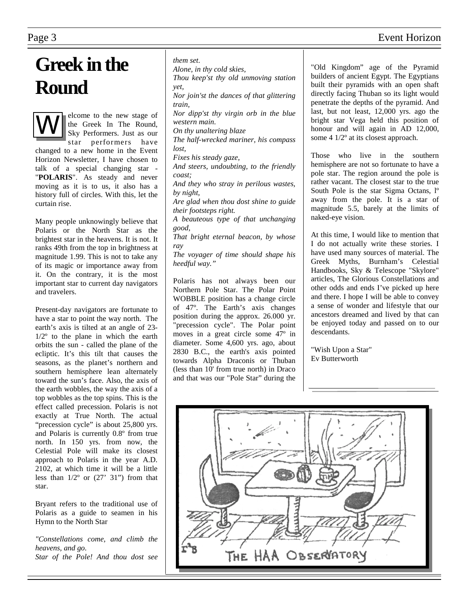# **Greek in the Round**

elcome to the new stage of the Greek In The Round, Sky Performers. Just as our star performers have changed to a new home in the Event Horizon Newsletter, I have chosen to talk of a special changing star - "**POLARIS**". As steady and never moving as it is to us, it also has a history full of circles. With this, let the curtain rise.

Many people unknowingly believe that Polaris or the North Star as the brightest star in the heavens. It is not. It ranks 49th from the top in brightness at magnitude 1.99. This is not to take any of its magic or importance away from it. On the contrary, it is the most important star to current day navigators and travelers.

Present-day navigators are fortunate to have a star to point the way north. The earth's axis is tilted at an angle of 23-  $1/2^{\circ}$  to the plane in which the earth orbits the sun - called the plane of the ecliptic. It's this tilt that causes the seasons, as the planet's northern and southern hemisphere lean alternately toward the sun's face. Also, the axis of the earth wobbles, the way the axis of a top wobbles as the top spins. This is the effect called precession. Polaris is not exactly at True North. The actual "precession cycle" is about 25,800 yrs. and Polaris is currently 0.8º from true north. In 150 yrs. from now, the Celestial Pole will make its closest approach to Polaris in the year A.D. 2102, at which time it will be a little less than  $1/2^{\circ}$  or  $(27'$  31") from that star.

Bryant refers to the traditional use of Polaris as a guide to seamen in his Hymn to the North Star

*"Constellations come, and climb the heavens, and go. Star of the Pole! And thou dost see* 

#### *them set.*

*Alone, in thy cold skies,* 

*Thou keep'st thy old unmoving station*   $v(t)$ 

*Nor join'st the dances of that glittering train, Nor dipp'st thy virgin orb in the blue western main. On thy unaltering blaze The half-wrecked mariner, his compass lost, Fixes his steady gaze, And steers, undoubting, to the friendly coast; And they who stray in perilous wastes, by night, Are glad when thou dost shine to guide their footsteps right. A beauteous type of that unchanging good, That bright eternal beacon, by whose ray The voyager of time should shape his heedful way."* 

Polaris has not always been our Northern Pole Star. The Polar Point WOBBLE position has a change circle of 47º. The Earth's axis changes position during the approx. 26.000 yr. "precession cycle". The Polar point moves in a great circle some 47º in diameter. Some 4,600 yrs. ago, about 2830 B.C., the earth's axis pointed towards Alpha Draconis or Thuban (less than 10' from true north) in Draco and that was our "Pole Star" during the

"Old Kingdom" age of the Pyramid builders of ancient Egypt. The Egyptians built their pyramids with an open shaft directly facing Thuban so its light would penetrate the depths of the pyramid. And last, but not least, 12,000 yrs. ago the bright star Vega held this position of honour and will again in AD 12,000, some 4 1/2º at its closest approach.

Those who live in the southern hemisphere are not so fortunate to have a pole star. The region around the pole is rather vacant. The closest star to the true South Pole is the star Sigma Octans, lº away from the pole. It is a star of magnitude 5.5, barely at the limits of naked-eye vision.

At this time, I would like to mention that I do not actually write these stories. I have used many sources of material. The Greek Myths, Burnham's Celestial Handbooks, Sky & Telescope "Skylore" articles, The Glorious Constellations and other odds and ends I've picked up here and there. I hope I will be able to convey a sense of wonder and lifestyle that our ancestors dreamed and lived by that can be enjoyed today and passed on to our descendants.

"Wish Upon a Star" Ev Butterworth



### Page 3 Event Horizon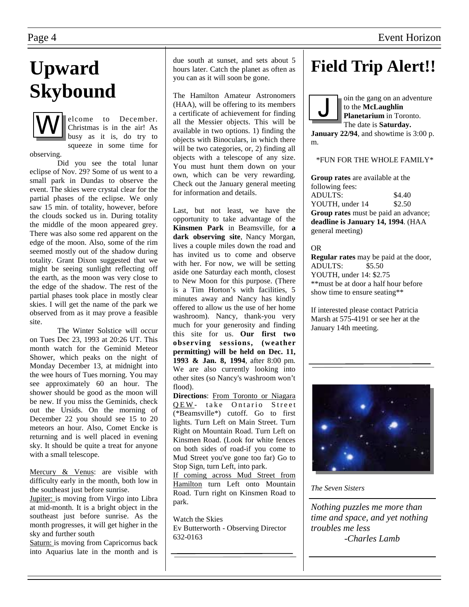# **Upward Skybound**



elcome to December. Christmas is in the air! As busy as it is, do try to squeeze in some time for

observing. Did you see the total lunar eclipse of Nov. 29? Some of us went to a small park in Dundas to observe the event. The skies were crystal clear for the partial phases of the eclipse. We only saw 15 min. of totality, however, before the clouds socked us in. During totality the middle of the moon appeared grey. There was also some red apparent on the edge of the moon. Also, some of the rim seemed mostly out of the shadow during totality. Grant Dixon suggested that we might be seeing sunlight reflecting off the earth, as the moon was very close to the edge of the shadow. The rest of the partial phases took place in mostly clear skies. I will get the name of the park we observed from as it may prove a feasible site.

 The Winter Solstice will occur on Tues Dec 23, 1993 at 20:26 UT. This month watch for the Geminid Meteor Shower, which peaks on the night of Monday December 13, at midnight into the wee hours of Tues morning. You may see approximately 60 an hour. The shower should be good as the moon will be new. If you miss the Geminids, check out the Ursids. On the morning of December 22 you should see 15 to 20 meteors an hour. Also, Comet Encke is returning and is well placed in evening sky. It should be quite a treat for anyone with a small telescope.

Mercury & Venus: are visible with difficulty early in the month, both low in the southeast just before sunrise.

Jupiter: is moving from Virgo into Libra at mid-month. It is a bright object in the southeast just before sunrise. As the month progresses, it will get higher in the sky and further south

Saturn: is moving from Capricornus back into Aquarius late in the month and is due south at sunset, and sets about 5 hours later. Catch the planet as often as you can as it will soon be gone.

The Hamilton Amateur Astronomers (HAA), will be offering to its members a certificate of achievement for finding all the Messier objects. This will be available in two options. 1) finding the objects with Binoculars, in which there will be two categories, or, 2) finding all objects with a telescope of any size. You must hunt them down on your own, which can be very rewarding. Check out the January general meeting for information and details.

Last, but not least, we have the opportunity to take advantage of the **Kinsmen Park** in Beamsville, for **a dark observing site**, Nancy Morgan, lives a couple miles down the road and has invited us to come and observe with her. For now, we will be setting aside one Saturday each month, closest to New Moon for this purpose. (There is a Tim Horton's with facilities, 5 minutes away and Nancy has kindly offered to allow us the use of her home washroom). Nancy, thank-you very much for your generosity and finding this site for us. **Our first two observing sessions, (weather permitting) will be held on Dec. 11, 1993 & Jan. 8, 1994**, after 8:00 pm. We are also currently looking into other sites (so Nancy's washroom won't flood).

**Directions**: From Toronto or Niagara QEW- take Ontario Street (\*Beamsville\*) cutoff. Go to first lights. Turn Left on Main Street. Turn Right on Mountain Road. Turn Left on Kinsmen Road. (Look for white fences on both sides of road-if you come to Mud Street you've gone too far) Go to Stop Sign, turn Left, into park.

If coming across Mud Street from Hamilton turn Left onto Mountain Road. Turn right on Kinsmen Road to park.

Watch the Skies Ev Butterworth - Observing Director 632-0163

# **Field Trip Alert!!**

oin the gang on an adventure to the **McLaughlin Planetarium** in Toronto. The date is **Saturday. January 22/94**, and showtime is 3:00 p. m.

\*FUN FOR THE WHOLE FAMILY\*

**Group rates** are available at the following fees: ADULTS:  $$4.40$ YOUTH, under 14 \$2.50 **Group rates** must be paid an advance; **deadline is January 14, 1994**. (HAA general meeting)

OR

**Regular rates** may be paid at the door, ADULTS: \$5.50 YOUTH, under 14: \$2.75 \*\*must be at door a half hour before show time to ensure seating\*\*

If interested please contact Patricia Marsh at 575-4191 or see her at the January 14th meeting.



*The Seven Sisters* 

*Nothing puzzles me more than time and space, and yet nothing troubles me less -Charles Lamb*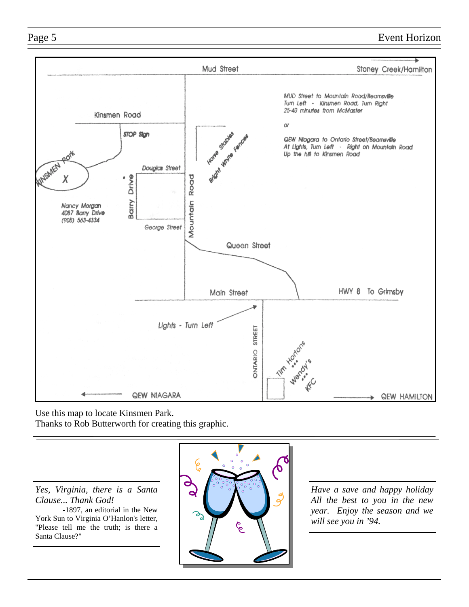Page 5 Event Horizon



Use this map to locate Kinsmen Park. Thanks to Rob Butterworth for creating this graphic.

*Yes, Virginia, there is a Santa Clause... Thank God!* 

 -1897, an editorial in the New York Sun to Virginia O'Hanlon's letter, "Please tell me the truth; is there a Santa Clause?"



*Have a save and happy holiday All the best to you in the new year. Enjoy the season and we will see you in '94.*